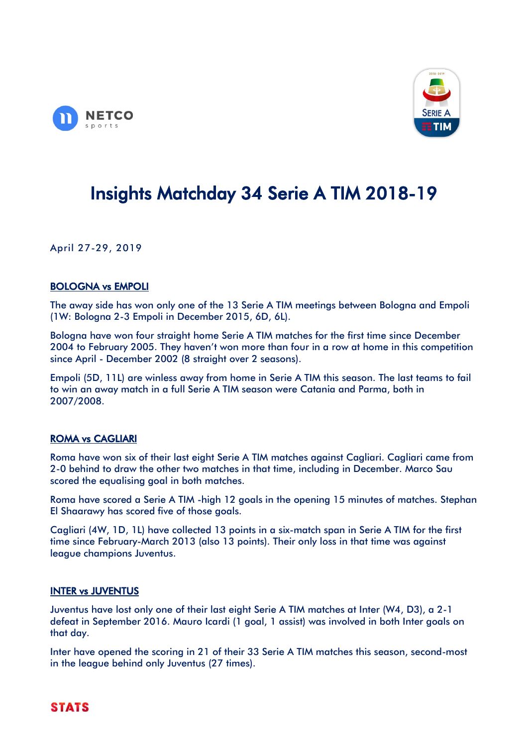



# Insights Matchday 34 Serie A TIM 2018-19

April 27-29, 2019

## BOLOGNA vs EMPOLI

The away side has won only one of the 13 Serie A TIM meetings between Bologna and Empoli (1W: Bologna 2-3 Empoli in December 2015, 6D, 6L).

Bologna have won four straight home Serie A TIM matches for the first time since December 2004 to February 2005. They haven't won more than four in a row at home in this competition since April - December 2002 (8 straight over 2 seasons).

Empoli (5D, 11L) are winless away from home in Serie A TIM this season. The last teams to fail to win an away match in a full Serie A TIM season were Catania and Parma, both in 2007/2008.

# ROMA vs CAGLIARI

Roma have won six of their last eight Serie A TIM matches against Cagliari. Cagliari came from 2-0 behind to draw the other two matches in that time, including in December. Marco Sau scored the equalising goal in both matches.

Roma have scored a Serie A TIM -high 12 goals in the opening 15 minutes of matches. Stephan El Shaarawy has scored five of those goals.

Cagliari (4W, 1D, 1L) have collected 13 points in a six-match span in Serie A TIM for the first time since February-March 2013 (also 13 points). Their only loss in that time was against league champions Juventus.

## INTER vs JUVENTUS

Juventus have lost only one of their last eight Serie A TIM matches at Inter (W4, D3), a 2-1 defeat in September 2016. Mauro Icardi (1 goal, 1 assist) was involved in both Inter goals on that day.

Inter have opened the scoring in 21 of their 33 Serie A TIM matches this season, second-most in the league behind only Juventus (27 times).

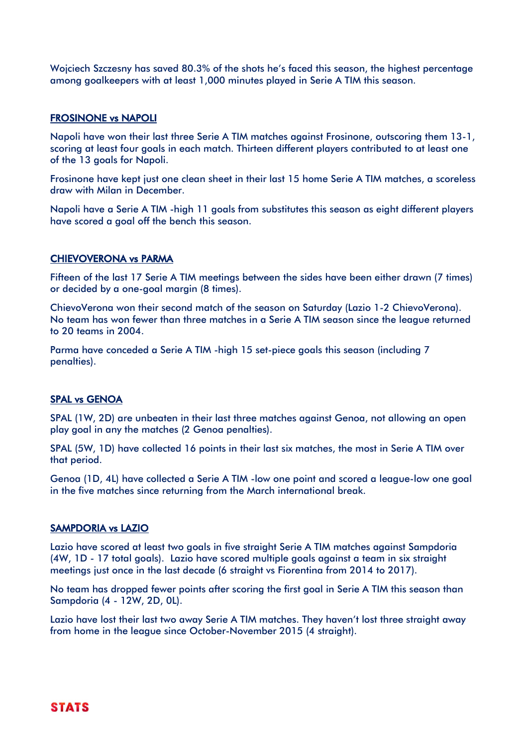Wojciech Szczesny has saved 80.3% of the shots he's faced this season, the highest percentage among goalkeepers with at least 1,000 minutes played in Serie A TIM this season.

#### FROSINONE vs NAPOLI

Napoli have won their last three Serie A TIM matches against Frosinone, outscoring them 13-1, scoring at least four goals in each match. Thirteen different players contributed to at least one of the 13 goals for Napoli.

Frosinone have kept just one clean sheet in their last 15 home Serie A TIM matches, a scoreless draw with Milan in December.

Napoli have a Serie A TIM -high 11 goals from substitutes this season as eight different players have scored a goal off the bench this season.

#### CHIEVOVERONA vs PARMA

Fifteen of the last 17 Serie A TIM meetings between the sides have been either drawn (7 times) or decided by a one-goal margin (8 times).

ChievoVerona won their second match of the season on Saturday (Lazio 1-2 ChievoVerona). No team has won fewer than three matches in a Serie A TIM season since the league returned to 20 teams in 2004.

Parma have conceded a Serie A TIM -high 15 set-piece goals this season (including 7 penalties).

#### SPAL vs GENOA

SPAL (1W, 2D) are unbeaten in their last three matches against Genoa, not allowing an open play goal in any the matches (2 Genoa penalties).

SPAL (5W, 1D) have collected 16 points in their last six matches, the most in Serie A TIM over that period.

Genoa (1D, 4L) have collected a Serie A TIM -low one point and scored a league-low one goal in the five matches since returning from the March international break.

#### SAMPDORIA vs LAZIO

Lazio have scored at least two goals in five straight Serie A TIM matches against Sampdoria (4W, 1D - 17 total goals). Lazio have scored multiple goals against a team in six straight meetings just once in the last decade (6 straight vs Fiorentina from 2014 to 2017).

No team has dropped fewer points after scoring the first goal in Serie A TIM this season than Sampdoria (4 - 12W, 2D, 0L).

Lazio have lost their last two away Serie A TIM matches. They haven't lost three straight away from home in the league since October-November 2015 (4 straight).